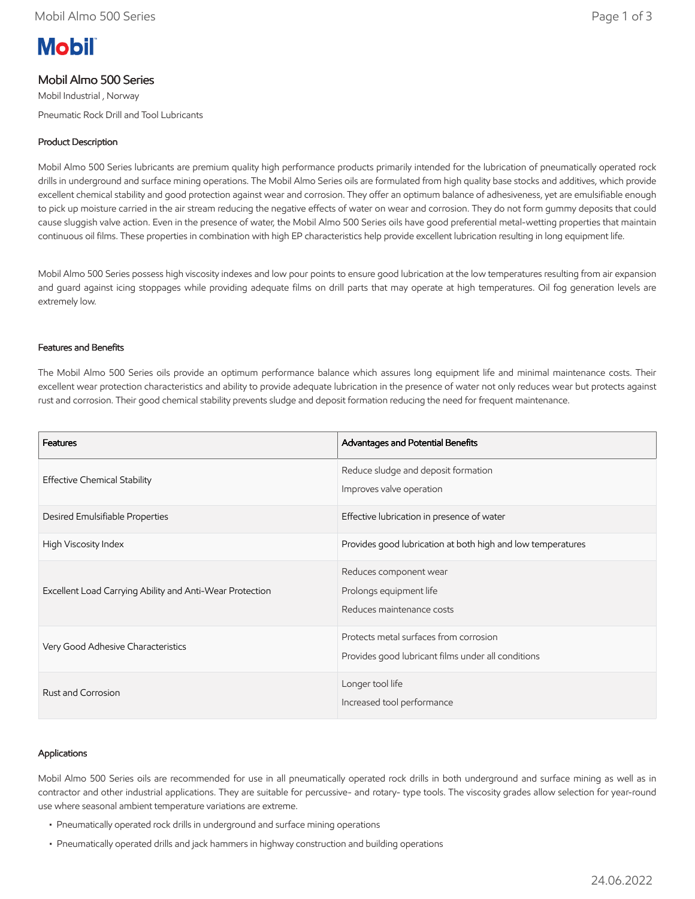# **Mobil**

## Mobil Almo 500 Series

Mobil Industrial , Norway Pneumatic Rock Drill and Tool Lubricants

## Product Description

Mobil Almo 500 Series lubricants are premium quality high performance products primarily intended for the lubrication of pneumatically operated rock drills in underground and surface mining operations. The Mobil Almo Series oils are formulated from high quality base stocks and additives, which provide excellent chemical stability and good protection against wear and corrosion. They offer an optimum balance of adhesiveness, yet are emulsifiable enough to pick up moisture carried in the air stream reducing the negative effects of water on wear and corrosion. They do not form gummy deposits that could cause sluggish valve action. Even in the presence of water, the Mobil Almo 500 Series oils have good preferential metal-wetting properties that maintain continuous oil films. These properties in combination with high EP characteristics help provide excellent lubrication resulting in long equipment life.

Mobil Almo 500 Series possess high viscosity indexes and low pour points to ensure good lubrication at the low temperatures resulting from air expansion and guard against icing stoppages while providing adequate films on drill parts that may operate at high temperatures. Oil fog generation levels are extremely low.

#### Features and Benefits

The Mobil Almo 500 Series oils provide an optimum performance balance which assures long equipment life and minimal maintenance costs. Their excellent wear protection characteristics and ability to provide adequate lubrication in the presence of water not only reduces wear but protects against rust and corrosion. Their good chemical stability prevents sludge and deposit formation reducing the need for frequent maintenance.

| Features                                                 | Advantages and Potential Benefits                                                            |
|----------------------------------------------------------|----------------------------------------------------------------------------------------------|
| <b>Effective Chemical Stability</b>                      | Reduce sludge and deposit formation<br>Improves valve operation                              |
| Desired Emulsifiable Properties                          | Effective lubrication in presence of water                                                   |
| High Viscosity Index                                     | Provides good lubrication at both high and low temperatures                                  |
| Excellent Load Carrying Ability and Anti-Wear Protection | Reduces component wear<br>Prolongs equipment life<br>Reduces maintenance costs               |
| Very Good Adhesive Characteristics                       | Protects metal surfaces from corrosion<br>Provides good lubricant films under all conditions |
| Rust and Corrosion                                       | Longer tool life<br>Increased tool performance                                               |

#### Applications

Mobil Almo 500 Series oils are recommended for use in all pneumatically operated rock drills in both underground and surface mining as well as in contractor and other industrial applications. They are suitable for percussive- and rotary- type tools. The viscosity grades allow selection for year-round use where seasonal ambient temperature variations are extreme.

- Pneumatically operated rock drills in underground and surface mining operations
- Pneumatically operated drills and jack hammers in highway construction and building operations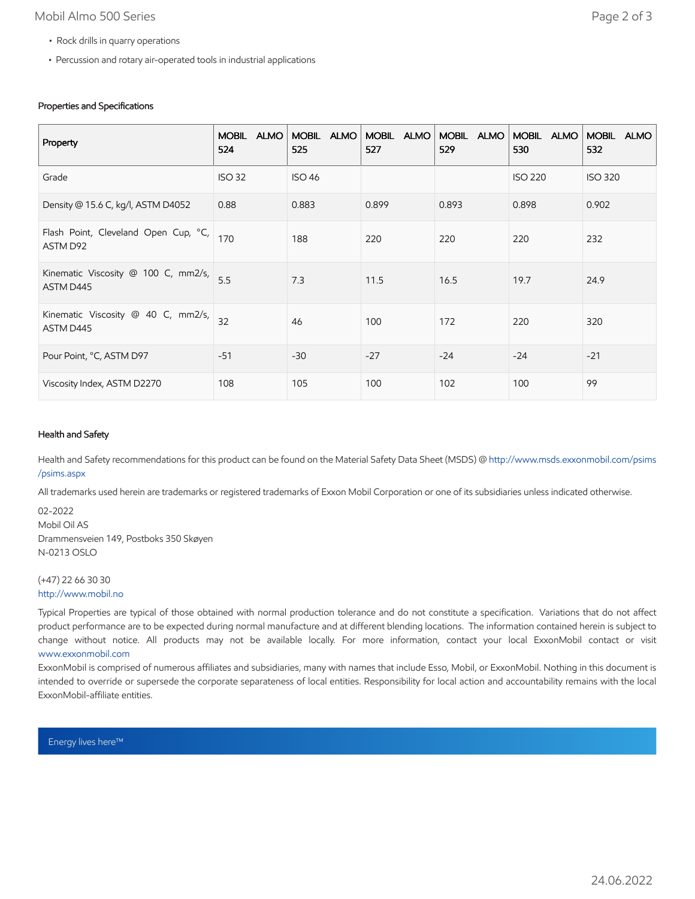### Mobil Almo 500 Series **Page 2 of 3**

- Rock drills in quarry operations
- Percussion and rotary air-operated tools in industrial applications

#### Properties and Specifications

| Property                                         | <b>MOBIL</b><br><b>ALMO</b><br>524 | MOBIL ALMO<br>525 | MOBIL ALMO<br>527 | MOBIL ALMO<br>529 | MOBIL ALMO<br>530 | <b>MOBIL</b><br><b>ALMO</b><br>532 |
|--------------------------------------------------|------------------------------------|-------------------|-------------------|-------------------|-------------------|------------------------------------|
| Grade                                            | <b>ISO 32</b>                      | <b>ISO 46</b>     |                   |                   | <b>ISO 220</b>    | <b>ISO 320</b>                     |
| Density @ 15.6 C, kg/l, ASTM D4052               | 0.88                               | 0.883             | 0.899             | 0.893             | 0.898             | 0.902                              |
| Flash Point, Cleveland Open Cup, °C,<br>ASTM D92 | 170                                | 188               | 220               | 220               | 220               | 232                                |
| Kinematic Viscosity @ 100 C, mm2/s,<br>ASTM D445 | 5.5                                | 7.3               | 11.5              | 16.5              | 19.7              | 24.9                               |
| Kinematic Viscosity @ 40 C, mm2/s,<br>ASTM D445  | 32                                 | 46                | 100               | 172               | 220               | 320                                |
| Pour Point, °C, ASTM D97                         | $-51$                              | $-30$             | $-27$             | $-24$             | $-24$             | $-21$                              |
| Viscosity Index, ASTM D2270                      | 108                                | 105               | 100               | 102               | 100               | 99                                 |

#### Health and Safety

Health and Safety recommendations for this product can be found on the Material Safety Data Sheet (MSDS) @ [http://www.msds.exxonmobil.com/psims](http://www.msds.exxonmobil.com/psims/psims.aspx) /psims.aspx

All trademarks used herein are trademarks or registered trademarks of Exxon Mobil Corporation or one of its subsidiaries unless indicated otherwise.

02-2022 Mobil Oil AS Drammensveien 149, Postboks 350 Skøyen N-0213 OSLO

#### (+47) 22 66 30 30 [http://www.mobil.no](http://www.mobil.no/)

Typical Properties are typical of those obtained with normal production tolerance and do not constitute a specification. Variations that do not affect product performance are to be expected during normal manufacture and at different blending locations. The information contained herein is subject to change without notice. All products may not be available locally. For more information, contact your local ExxonMobil contact or visit [www.exxonmobil.com](http://www.exxonmobil.com/)

ExxonMobil is comprised of numerous affiliates and subsidiaries, many with names that include Esso, Mobil, or ExxonMobil. Nothing in this document is intended to override or supersede the corporate separateness of local entities. Responsibility for local action and accountability remains with the local ExxonMobil-affiliate entities.

Energy lives here™